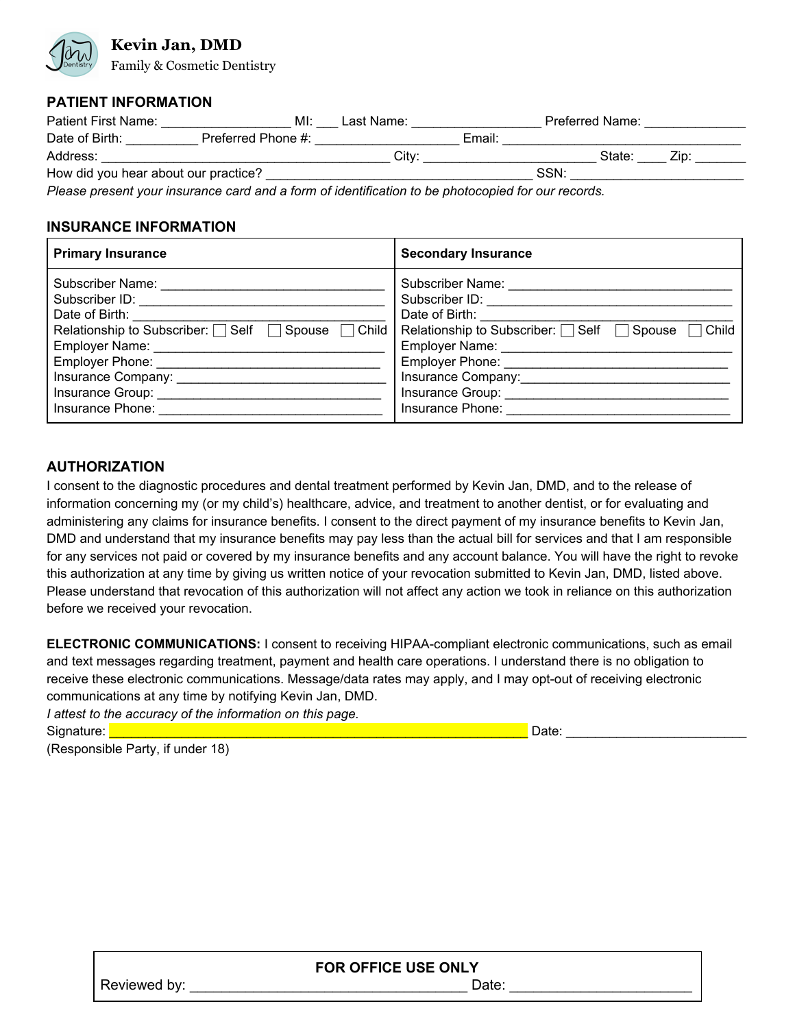# **Kevin Jan, DMD**

Family & Cosmetic Dentistry

#### **PATIENT INFORMATION**

| Patient First Name:                  | MI:                | Last Name: |        |             | Preferred Name: |      |  |
|--------------------------------------|--------------------|------------|--------|-------------|-----------------|------|--|
| Date of Birth:                       | Preferred Phone #: |            | Email: |             |                 |      |  |
| Address:                             |                    | Citv:      |        |             | State:          | ∕in: |  |
| How did you hear about our practice? |                    |            |        | <b>SSN:</b> |                 |      |  |
| $-$                                  |                    |            |        |             |                 |      |  |

*Please present your insurance card and a form of identification to be photocopied for our records.*

#### **INSURANCE INFORMATION**

| <b>Primary Insurance</b>                                                                                                                                                                                                                                                                                                                                                                                                                                                                                                                                                                                                                                                                                                                                                                                                                                                    | <b>Secondary Insurance</b>                                                                                                                                                                                                                                                                                                                                                                                                                                                                |
|-----------------------------------------------------------------------------------------------------------------------------------------------------------------------------------------------------------------------------------------------------------------------------------------------------------------------------------------------------------------------------------------------------------------------------------------------------------------------------------------------------------------------------------------------------------------------------------------------------------------------------------------------------------------------------------------------------------------------------------------------------------------------------------------------------------------------------------------------------------------------------|-------------------------------------------------------------------------------------------------------------------------------------------------------------------------------------------------------------------------------------------------------------------------------------------------------------------------------------------------------------------------------------------------------------------------------------------------------------------------------------------|
| Subscriber Name:<br>Subscriber ID: <b>www.fractional.com/internal.com/internal.com/internal.com/internal.com/internal.com/internal.com/internal.com/internal.com/internal.com/internal.com/internal.com/internal.com/internal.com/internal.com/inter</b><br>Date of Birth: Note of Birth:<br>Relationship to Subscriber: $\Box$ Self $\Box$ Spouse<br>$\Box$ Child<br>Employer Name: Mannell Communication of the Communication of the Communication of the Communication of the Communication of the Communication of the Communication of the Communication of the Communication of the Communicat<br>Insurance Group: _________________<br>Insurance Phone: The Contract of the Contract of the Contract of the Contract of the Contract of the Contract of the Contract of the Contract of the Contract of the Contract of the Contract of the Contract of the Contract | Subscriber Name: <u>__________</u><br>Date of Birth: Date of Birth:<br>Relationship to Subscriber: □ Self  <br>Child<br>$\Box$ Spouse<br>Employer Name: Mannell Communication of the Manner Communication of the United States and the United States and Taracteristics and Taracteristics and Taracteristics and Taracteristics and Taracteristics and Taracteristics<br>Insurance Company: 1999<br>Insurance Group: _________________<br>Insurance Phone: <u>______________________</u> |

### **AUTHORIZATION**

I consent to the diagnostic procedures and dental treatment performed by Kevin Jan, DMD, and to the release of information concerning my (or my child's) healthcare, advice, and treatment to another dentist, or for evaluating and administering any claims for insurance benefits. I consent to the direct payment of my insurance benefits to Kevin Jan, DMD and understand that my insurance benefits may pay less than the actual bill for services and that I am responsible for any services not paid or covered by my insurance benefits and any account balance. You will have the right to revoke this authorization at any time by giving us written notice of your revocation submitted to Kevin Jan, DMD, listed above. Please understand that revocation of this authorization will not affect any action we took in reliance on this authorization before we received your revocation.

**ELECTRONIC COMMUNICATIONS:** I consent to receiving HIPAA-compliant electronic communications, such as email and text messages regarding treatment, payment and health care operations. I understand there is no obligation to receive these electronic communications. Message/data rates may apply, and I may opt-out of receiving electronic communications at any time by notifying Kevin Jan, DMD.

*I attest to the accuracy of the information on this page.* Signature: <u>Enterpretation and the set of the set of the set of the set of the set of the set of the set of the set of the set of the set of the set of the set of the set of the set of the set of the set of the set of the </u>

(Responsible Party, if under 18)

| <b>FOR OFFICE USE ONLY</b> |      |  |  |  |
|----------------------------|------|--|--|--|
| Reviewed by:               | )ate |  |  |  |